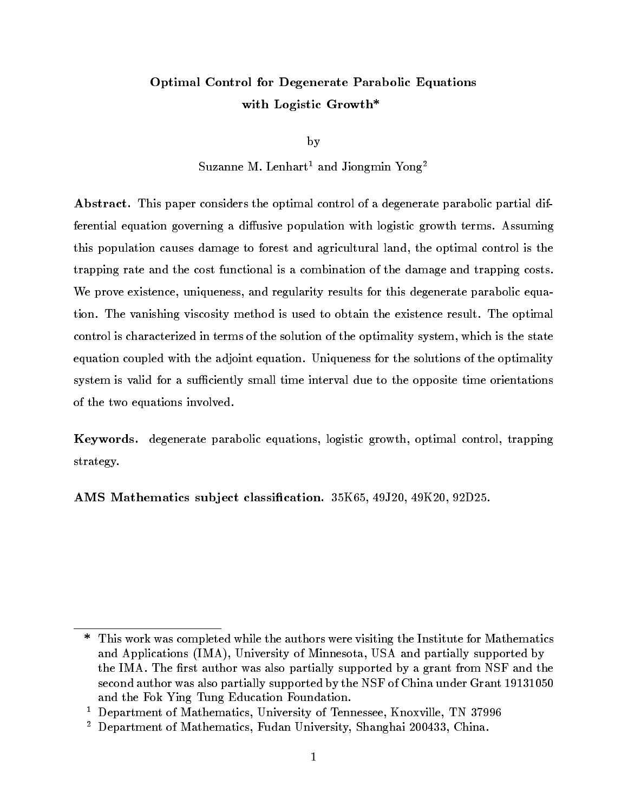# Optimal Control for Degenerate Parabolic Equations with Logistic Growth\*

by

Suzanne M. Lenhart<sup>1</sup> and Jiongmin Yong<sup>2</sup>

Abstract. This paper considers the optimal control of a degenerate parabolic partial differential equation governing a diffusive population with logistic growth terms. Assuming this population causes damage to forest and agricultural land, the optimal control is the trapping rate and the cost functional is a combination of the damage and trapping costs. We prove existence, uniqueness, and regularity results for this degenerate parabolic equation. The vanishing viscosity method is used to obtain the existence result. The optimal control is characterized in terms of the solution of the optimality system, which is the state equation coupled with the adjoint equation. Uniqueness for the solutions of the optimality system is valid for a sufficiently small time interval due to the opposite time orientations of the two equations involved.

Keywords. degenerate parabolic equations, logistic growth, optimal control, trapping strategy.

AMS Mathematics sub ject classication. 35K65, 49J20, 49K20, 92D25.

 $\ast$ This work was completed while the authors were visiting the Institute for Mathematics and Applications (IMA), University of Minnesota, USA and partially supported by the IMA. The first author was also partially supported by a grant from NSF and the second author was also partially supported by the NSF of China under Grant 19131050 and the Fok Ying Tung Education Foundation.

 $\sim$  Department of Mathematics, University of Tennessee, Knoxville, TN 37996  $\sim$ 

<sup>2</sup> Department of Mathematics, Fudan University, Shanghai 200433, China.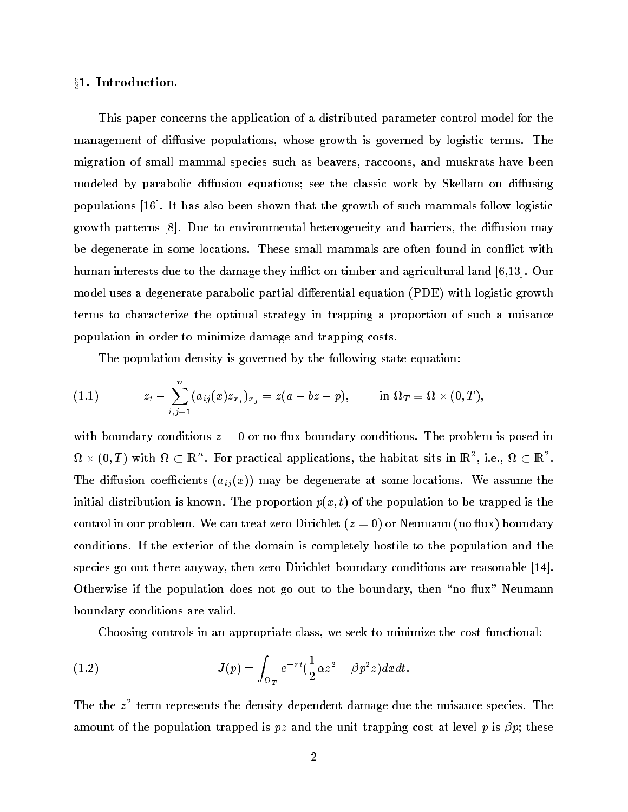# §1. Introduction.

This paper concerns the application of a distributed parameter control model for the management of diffusive populations, whose growth is governed by logistic terms. The migration of small mammal species such as beavers, raccoons, and muskrats have been modeled by parabolic diffusion equations; see the classic work by Skellam on diffusing populations [16]. It has also been shown that the growth of such mammals follow logistic growth patterns  $[8]$ . Due to environmental heterogeneity and barriers, the diffusion may be degenerate in some locations. These small mammals are often found in conflict with human interests due to the damage they inflict on timber and agricultural land [6,13]. Our model uses a degenerate parabolic partial differential equation (PDE) with logistic growth terms to characterize the optimal strategy in trapping a proportion of such a nuisance population in order to minimize damage and trapping costs.

The population density is governed by the following state equation:

$$
(1.1) \hspace{3.1em} z_t-\sum_{i,j=1}^n (a_{ij}(x)z_{x_i})_{x_j}=z(a-bz-p), \hspace{0.7em} \text{in} \ \Omega_{T}\equiv \Omega\times (0,T),
$$

with boundary conditions  $z = 0$  or no flux boundary conditions. The problem is posed in  $\Omega \times (0,T)$  with  $\Omega \subset \mathbb{R}^+$ . For practical applications, the habitat sits in  $\mathbb{R}^-,$  i.e.,  $\Omega \subset \mathbb{R}^+$ . The diffusion coefficients  $(a_{ij}(x))$  may be degenerate at some locations. We assume the initial distribution is known. The proportion  $p(x, t)$  of the population to be trapped is the control in our problem. We can treat zero Dirichlet  $(z = 0)$  or Neumann (no flux) boundary conditions. If the exterior of the domain is completely hostile to the population and the species go out there anyway, then zero Dirichlet boundary conditions are reasonable [14]. Otherwise if the population does not go out to the boundary, then "no flux" Neumann boundary conditions are valid.

Choosing controls in an appropriate class, we seek to minimize the cost functional:

(1.2) 
$$
J(p) = \int_{\Omega_T} e^{-rt} \left(\frac{1}{2}\alpha z^2 + \beta p^2 z\right) dx dt.
$$

I he the z-term represents the density dependent damage due the nuisance species. The amount of the population trapped is pz and the unit trapping cost at level p is  $\beta p$ ; these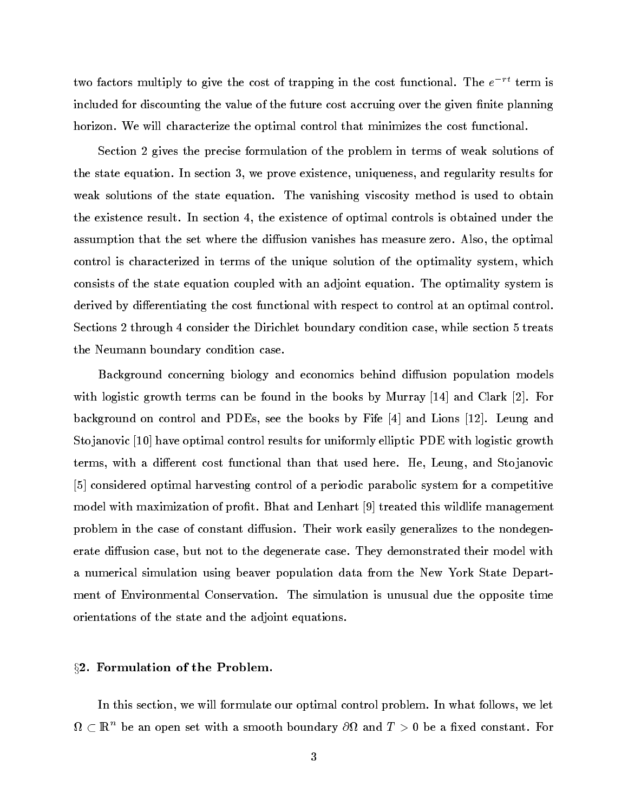two factors multiply to give the cost of trapping in the cost functional. The  $e^{-rt}$  term is included for discounting the value of the future cost accruing over the given finite planning horizon. We will characterize the optimal control that minimizes the cost functional.

Section 2 gives the precise formulation of the problem in terms of weak solutions of the state equation. In section 3, we prove existence, uniqueness, and regularity results for weak solutions of the state equation. The vanishing viscosity method is used to obtain the existence result. In section 4, the existence of optimal controls is obtained under the assumption that the set where the diffusion vanishes has measure zero. Also, the optimal control is characterized in terms of the unique solution of the optimality system, which consists of the state equation coupled with an adjoint equation. The optimality system is derived by differentiating the cost functional with respect to control at an optimal control. Sections 2 through 4 consider the Dirichlet boundary condition case, while section 5 treats the Neumann boundary condition case.

Background concerning biology and economics behind diffusion population models with logistic growth terms can be found in the books by Murray [14] and Clark [2]. For background on control and PDEs, see the books by Fife [4] and Lions [12]. Leung and Sto janovic [10] have optimal control results for uniformly elliptic PDE with logistic growth terms, with a different cost functional than that used here. He, Leung, and Stojanovic [5] considered optimal harvesting control of a periodic parabolic system for a competitive model with maximization of profit. Bhat and Lenhart [9] treated this wildlife management problem in the case of constant diffusion. Their work easily generalizes to the nondegenerate diffusion case, but not to the degenerate case. They demonstrated their model with a numerical simulation using beaver population data from the New York State Department of Environmental Conservation. The simulation is unusual due the opposite time orientations of the state and the adjoint equations.

### $\S 2.$  Formulation of the Problem.

In this section, we will formulate our optimal control problem. In what follows, we let  $\Omega$  (  $\mathbb R^+$  be an open set with a smooth boundary  $\partial\Omega$  and  $T>0$  be a fixed constant. For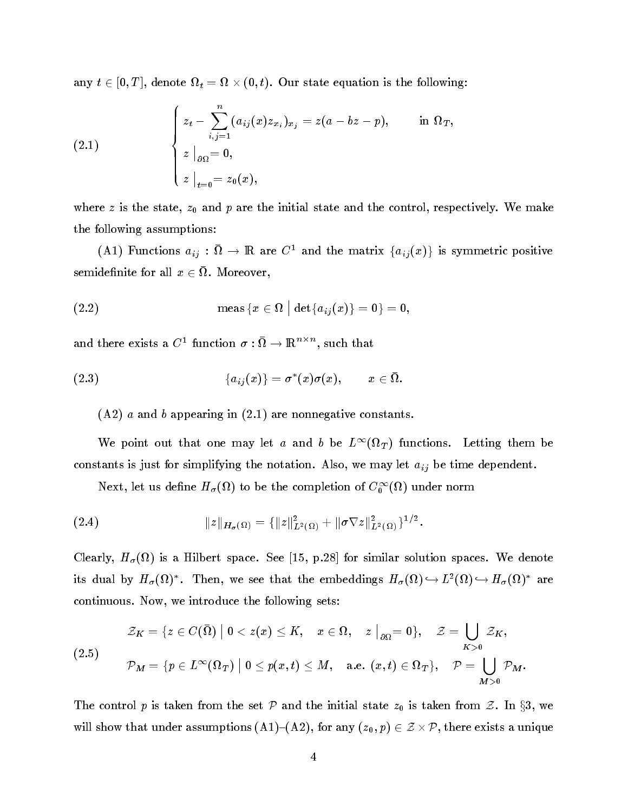$\mathbf{u}_1$ ,  $\mathbf{v}$   $\geq$   $\mathbf{v}_1$ , denote  $\mathbf{u}_t$ . The  $\mathbf{v}_1$   $\mathbf{v}_2$ ,  $\mathbf{v}_3$ ,  $\mathbf{v}_4$ ,  $\mathbf{v}_5$  and  $\mathbf{v}_6$  and  $\mathbf{v}_7$  and  $\mathbf{v}_8$ .

(2.1) 
$$
\begin{cases} z_t - \sum_{i,j=1}^n (a_{ij}(x)z_{x_i})_{x_j} = z(a - bz - p), & \text{in } \Omega_T, \\ z \mid_{\partial\Omega} = 0, \\ z \mid_{t=0} = z_0(x), \end{cases}
$$

where z is the state,  $z_0$  and p are the initial state and the control, respectively. We make the following assumptions:

(A1) functions  $a_{ij}:u \to \mathbb{R}$  are C<sup>-</sup> and the matrix  $\{a_{ij}(x)\}\$  is symmetric positive schmuchlifte for all  $x \in \Omega$ . Moreover,

$$
\qquad \qquad (\text{2.2}) \qquad \qquad \text{meas } \{x \in \Omega \, \, \big| \, \det \{a_{ij}(x)\}=0\}=0,
$$

and there exists a  $C^+$  function  $\sigma : \Omega \to \mathbb{R}$  for such that

$$
(2.3) \qquad \qquad \{a_{ij}(x)\}=\sigma^*(x)\sigma(x), \qquad x\in\bar{\Omega}.
$$

 $(A2)$  a and b appearing in  $(2.1)$  are nonnegative constants.

We point out that one may let a and b be  $L^{\infty}(M_T)$  functions. Letting them be constants is just for simplifying the notation. Also, we may let  $a_{ij}$  be time dependent.

Next, let us denne  $H_{\sigma}(u)$  to be the completion of  $C_0^{\sigma^2}(u)$  under norm

(2.4) 
$$
\|z\|_{H_{\sigma}(\Omega)} = \{\|z\|_{L^2(\Omega)}^2 + \|\sigma \nabla z\|_{L^2(\Omega)}^2\}^{1/2}.
$$

clearly, H () is a Hilbert space. See [15, p.28] for similar solutions spaces. We denote the solution space of its dual by  $H_{\sigma}(u)$ . Then, we see that the embeddings  $H_{\sigma}(u) \hookrightarrow L^{2}(u) \hookrightarrow H_{\sigma}(u)$  are continuous. Now, we introduce the following sets:

$$
\mathcal{Z}_K = \{z \in C(\bar{\Omega}) \mid 0 < z(x) \leq K, \quad x \in \Omega, \quad z \bigm|_{\partial \Omega} = 0\}, \quad \mathcal{Z} = \bigcup_{K > 0} \mathcal{Z}_K,
$$
\n
$$
\mathcal{P}_M = \{p \in L^\infty(\Omega_T) \mid 0 \leq p(x, t) \leq M, \quad \text{a.e. } (x, t) \in \Omega_T\}, \quad \mathcal{P} = \bigcup_{M > 0} \mathcal{P}_M.
$$

The control p is taken from the set P and the initial state  $z_0$  is taken from Z. In  $\S 3$ , we will show that under assumptions (A1),  $(2-)$ , for any  $(2)$ ,  $(2)$ ,  $(2)$ ,  $(2)$ ,  $(2)$ ,  $(2)$ ,  $(2)$ ,  $(2)$ ,  $(2)$ ,  $(2)$ ,  $(2)$ ,  $(2)$ ,  $(2)$ ,  $(2)$ ,  $(2)$ ,  $(2)$ ,  $(2)$ ,  $(2)$ ,  $(2)$ ,  $(2)$ ,  $(2)$ ,  $(2)$ ,  $(2)$ ,  $(2)$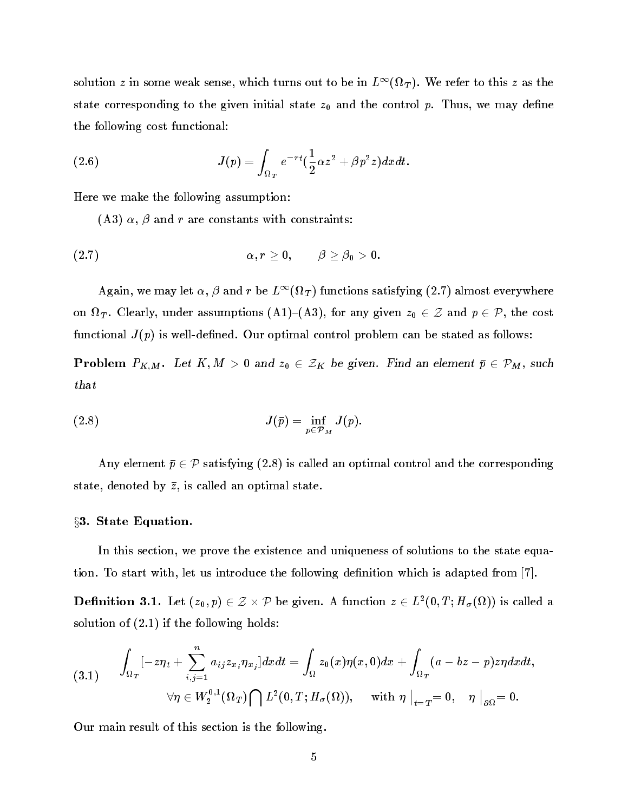solution z in some weak sense, which turns out to be in  $L^{++}(M_T)$ . We refer to this z as the state corresponding to the given initial state  $z_0$  and the control  $p$ . Thus, we may define the following cost functional:

(2.6) 
$$
J(p) = \int_{\Omega_T} e^{-rt} \left(\frac{1}{2}\alpha z^2 + \beta p^2 z\right) dx dt.
$$

Here we make the following assumption:

(A3)  $\alpha$ ,  $\beta$  and r are constants with constraints:

$$
\alpha, r \geq 0, \qquad \beta \geq \beta_0 > 0.
$$

Again, we may let  $\alpha, \beta$  and  $r$  be  $L^{++}(u_T)$  functions satisfying (2.7) almost everywhere  $\sigma$  . Clearly, where assumptions (A1), for any given  $\sigma$  and  $\sigma$   $\sigma$ functional  $J(p)$  is well-defined. Our optimal control problem can be stated as follows:

**Problem**  $P_{K,M}$ . Let  $K, M > 0$  and  $z_0 \in \mathcal{Z}_K$  be given. Find an element  $\bar{p} \in \mathcal{P}_M$ , such that

(2.8) 
$$
J(\bar{p}) = \inf_{p \in \mathcal{P}_M} J(p).
$$

Any element  $\bar{p} \in \mathcal{P}$  satisfying (2.8) is called an optimal control and the corresponding state, denoted by  $\bar{z}$ , is called an optimal state.

# §3. State Equation.

In this section, we prove the existence and uniqueness of solutions to the state equation. To start with, let us introduce the following definition which is adapted from  $|7|$ .

**Definition 3.1.** Let  $(z_0, p) \in \mathbb{Z} \times \mathbb{P}$  be given. A function  $z \in L^2(0, I; H_{\sigma}(M))$  is called a solution of (2.1) if the following holds:

$$
(3.1) \qquad \int_{\Omega_T}[-z\eta_t+\sum_{i,j=1}^n a_{ij}z_{x_i}\eta_{x_j}]dxdt=\int_{\Omega}z_0(x)\eta(x,0)dx+\int_{\Omega_T}(a-bz-p)z\eta dxdt,\\ \forall \eta\in W_2^{0,1}(\Omega_T)\bigcap L^2(0,T;H_{\sigma}(\Omega)),\quad \text{ with } \eta\bigm|_{t=T}=0, \quad \eta\bigm|_{\partial\Omega}=0.
$$

Our main result of this section is the following.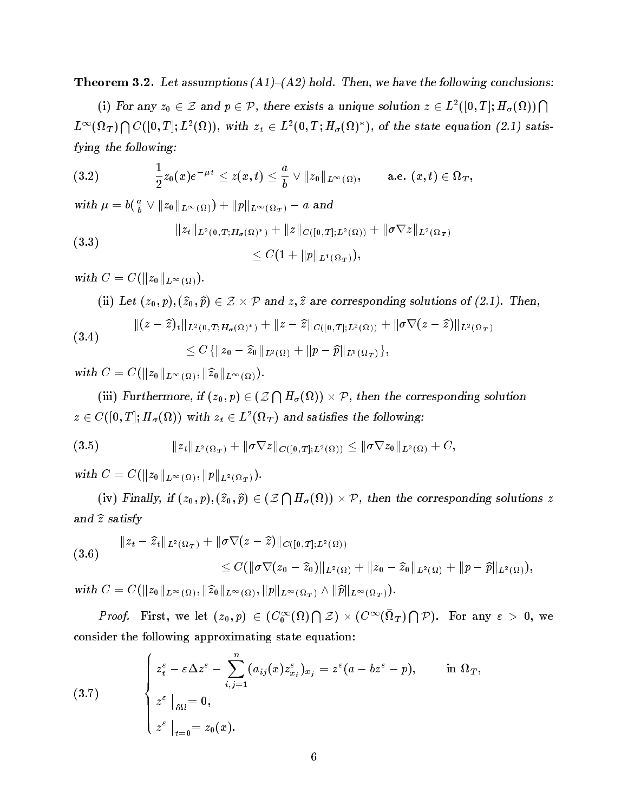**Theorem 3.2.** Let assumptions  $(A1)$ – $(A2)$  hold. Then, we have the following conclusions:

(i) For any  $z_0 \in \mathcal{Z}$  and  $p \in \mathcal{P}$ , there exists a unique solution  $z \in L^2([0,T]; H_\sigma(\Omega)) \bigcap$  $L^{\infty}(\Omega_T) \bigcap C([0,T]; L^2(\Omega)), \text{ with } z_t \in L^2(0,T; H_{\sigma}(\Omega)^*), \text{ of the state equation (2.1) satis$ fying the following:

$$
(3.2) \qquad \qquad \frac{1}{2}z_0(x)e^{-\mu t}\leq z(x,t)\leq \frac{a}{b}\vee \|z_0\|_{L^\infty(\Omega)},\qquad \text{a.e. }\, (x,t)\in \Omega_T,
$$

with 
$$
\mu = b(\frac{a}{b} \vee ||z_0||_{L^{\infty}(\Omega)}) + ||p||_{L^{\infty}(\Omega_T)} - a
$$
 and  
\n
$$
||z_t||_{L^2(0,T;H_{\sigma}(\Omega)^*)} + ||z||_{C([0,T];L^2(\Omega))} + ||\sigma \nabla z||_{L^2(\Omega_T)}
$$
\n
$$
\leq C(1 + ||p||_{L^1(\Omega_T)}),
$$

 $\cdots$   $\cdots$   $\cdots$   $\cdots$   $\cdots$   $\cdots$   $\cdots$   $\cdots$   $\cdots$ 

 $\langle u, u \rangle$  is  $\langle v_0, v_1, v_2, v_3 \rangle$   $\langle v, v_1 \rangle$  and  $\langle v, v_2 \rangle$  are corresponding solutions of  $\langle v, u_1, v_2 \rangle$ .

(3.4) 
$$
\|(z-\hat{z})_t\|_{L^2(0,T;H_\sigma(\Omega)^*)} + \|z-\hat{z}\|_{C([0,T];L^2(\Omega))} + \|\sigma \nabla (z-\hat{z})\|_{L^2(\Omega_T)}
$$

$$
\leq C \{\|z_0-\hat{z}_0\|_{L^2(\Omega)} + \|p-\hat{p}\|_{L^1(\Omega_T)}\},
$$

 $\cdots$   $\cdots$   $\cdots$   $\cdots$   $\cdots$   $\cdots$   $\cdots$   $\cdots$   $\cdots$   $\cdots$   $\cdots$   $\cdots$   $\cdots$   $\cdots$   $\cdots$   $\cdots$   $\cdots$   $\cdots$   $\cdots$   $\cdots$ 

(iii) Furthermore, if  $(z_0,p)\in ({\mathcal Z}\bigcap H_{\sigma}(\Omega))\times {\mathcal P},$  then the corresponding solution  $z \in \mathcal{C}([0,T]; H_{\sigma}(M))$  with  $z_t \in L^2(M_T)$  and satisfies the following:

(3.5) 
$$
\|z_t\|_{L^2(\Omega_T)} + \|\sigma \nabla z\|_{C([0,T];L^2(\Omega))} \le \|\sigma \nabla z_0\|_{L^2(\Omega)} + C,
$$

 $\cdots$ ...  $\sim$   $\frac{C\left(\frac{1}{2}a\right)}{\frac{1}{2}a\left(\frac{1}{2}a\right)}$ 

(iv) Finally, if  $(z_0, p), (\widehat{z}_0, \widehat{p}) \in (Z \bigcap H_{\sigma}(\Omega)) \times \mathcal{P}$ , then the corresponding solutions z and  $\widehat{z}$  satisfy

$$
(3.6) \qquad \|z_t - \widehat{z}_t\|_{L^2(\Omega_T)} + \|\sigma \nabla (z - \widehat{z})\|_{C([0,T];L^2(\Omega))} \\ \leq C(\|\sigma \nabla (z_0 - \widehat{z}_0)\|_{L^2(\Omega)} + \|z_0 - \widehat{z}_0\|_{L^2(\Omega)} + \|p - \widehat{p}\|_{L^2(\Omega)}),
$$

 $\mathbb{E} \left[ \frac{1}{2} \left( \frac{1}{2} \left( \frac{1}{2} \left( \frac{1}{2} \left( \frac{1}{2} \right) \right) + \frac{1}{2} \left( \frac{1}{2} \left( \frac{1}{2} \right) \right) \right) \right] \mathbb{E} \left[ \frac{1}{2} \left( \frac{1}{2} \left( \frac{1}{2} \left( \frac{1}{2} \left( \frac{1}{2} \right) \right) \right) \mathbb{E} \left[ \frac{1}{2} \left( \frac{1}{2} \left( \frac{1}{2} \left( \frac{1}{2} \right) \right) \$ 

*Proof.* First, we let  $(z_0,p) \in (C_0^\infty(\Omega) \bigcap \mathcal{Z}) \times (C^\infty(\Omega_T) \bigcap \mathcal{P})$ . For any  $\varepsilon > 0$ , we consider the following approximating state equation:

(3.7) 
$$
\begin{cases} z_t^{\varepsilon} - \varepsilon \Delta z^{\varepsilon} - \sum_{i,j=1}^n (a_{ij}(x) z_{x_i}^{\varepsilon})_{x_j} = z^{\varepsilon} (a - bz^{\varepsilon} - p), & \text{in } \Omega_T, \\ z^{\varepsilon} \mid_{\partial \Omega} = 0, \\ z^{\varepsilon} \mid_{t=0} = z_0(x). \end{cases}
$$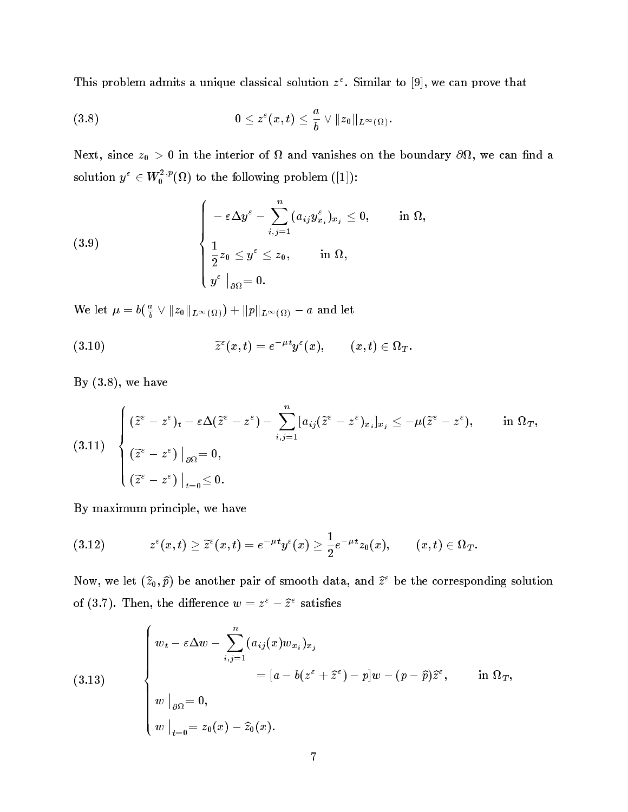I his problem admits a unique classical solution  $z^*$ . Similar to  $|9|$ , we can prove that

$$
(3.8) \qquad \qquad 0\leq z^{\varepsilon}(x,t)\leq \frac{a}{b}\vee \|z_0\|_{L^{\infty}(\Omega)}.
$$

where  $\alpha$  is the interior of the interior of the boundary of  $\alpha$  is the boundary  $\alpha$  in the boundary  $\alpha$ solution  $y^{\circ} \in W_0^{\pi_{\mathcal{P}}}(M)$  to the following problem ([1]):

$$
(3.9) \qquad \qquad \left\{ \begin{array}{l} -\,\varepsilon \Delta y^{\varepsilon} - \displaystyle \sum_{i,j=1}^{n}(a_{ij}y^{\varepsilon}_{x_i})_{x_j} \leq 0, \qquad \text{ in } \Omega, \\ \\ \displaystyle \frac{1}{2}z_0 \leq y^{\varepsilon} \leq z_0, \qquad \text{ in } \Omega, \\ y^{\varepsilon}\mid_{\partial \Omega} = 0. \end{array} \right.
$$

We let  $\mu = b(\frac{1}{b} \vee ||z_0||_{L^{\infty}(\Omega)}) + ||p||_{L^{\infty}(\Omega)} - a$  and let

(3.10) 
$$
\widetilde{z}^{\varepsilon}(x,t)=e^{-\mu t}y^{\varepsilon}(x), \qquad (x,t)\in \Omega_T.
$$

By  $(3.8)$ , we have

$$
(3.11) \quad \left\{ \begin{aligned} &(\widetilde{z}^\varepsilon-z^\varepsilon)_t-\varepsilon\Delta(\widetilde{z}^\varepsilon-z^\varepsilon)-\sum_{i,j=1}^n[a_{ij}(\widetilde{z}^\varepsilon-z^\varepsilon)_{x_i}]_{x_j}\leq-\mu(\widetilde{z}^\varepsilon-z^\varepsilon),\qquad\text{in }\Omega_T,\\ &(\widetilde{z}^\varepsilon-z^\varepsilon)\bigm|_{\partial\Omega}=0,\\ &(\widetilde{z}^\varepsilon-z^\varepsilon)\bigm|_{t=0}\leq0. \end{aligned} \right.
$$

By maximum principle, we have

$$
(3.12) \hspace{1cm} z^\varepsilon(x,t) \geq \widetilde{z}^\varepsilon(x,t) = e^{-\mu t} y^\varepsilon(x) \geq \frac{1}{2} e^{-\mu t} z_0(x), \qquad (x,t) \in \Omega_T.
$$

Now, we let  $(\hat{z}_0, \hat{p})$  be another pair of smooth data, and  $\hat{z}^{\epsilon}$  be the corresponding solution of (3.7). Then, the difference  $w = z^2 - z^2$  satisfies

(3.13)  

$$
\begin{cases}\nw_t - \varepsilon \Delta w - \sum_{i,j=1}^n (a_{ij}(x)w_{x_i})_{x_j} \\
= [a - b(z^{\varepsilon} + \hat{z}^{\varepsilon}) - p]w - (p - \hat{p})\hat{z}^{\varepsilon}, \quad \text{in } \Omega_T, \\
w \big|_{\partial \Omega} = 0, \\
w \big|_{t=0} = z_0(x) - \hat{z}_0(x).\n\end{cases}
$$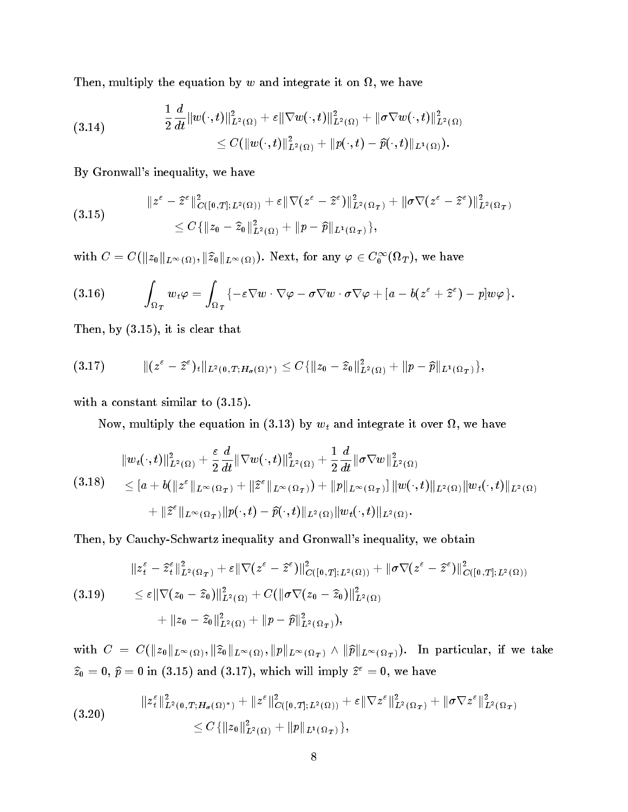, multiply the equation by w and integrate it on the control of  $\sim$ 

(3.14) 
$$
\frac{1}{2}\frac{d}{dt}\|w(\cdot,t)\|_{L^2(\Omega)}^2 + \varepsilon \|\nabla w(\cdot,t)\|_{L^2(\Omega)}^2 + \|\sigma \nabla w(\cdot,t)\|_{L^2(\Omega)}^2 \leq C(\|w(\cdot,t)\|_{L^2(\Omega)}^2 + \|p(\cdot,t)-\widehat{p}(\cdot,t)\|_{L^1(\Omega)}).
$$

By Gronwall's inequality, we have

$$
\|z^{\varepsilon}-\hat{z}^{\varepsilon}\|_{C([0,T];L^{2}(\Omega))}^{2}+\varepsilon\|\nabla(z^{\varepsilon}-\hat{z}^{\varepsilon})\|_{L^{2}(\Omega_{T})}^{2}+\|\sigma\nabla(z^{\varepsilon}-\hat{z}^{\varepsilon})\|_{L^{2}(\Omega_{T})}^{2}
$$
  

$$
\leq C\{\|z_{0}-\hat{z}_{0}\|_{L^{2}(\Omega)}^{2}+\|p-\hat{p}\|_{L^{1}(\Omega_{T})}\},\
$$

with  $C = C(\|z_0\|_{L^{\infty}(\Omega)}, \|z_0\|_{L^{\infty}(\Omega)})$ . Next, for any  $\varphi \in C_0^{\infty}(\Omega_T)$ , we have

(3.16) 
$$
\int_{\Omega_T} w_t \varphi = \int_{\Omega_T} \{ -\varepsilon \nabla w \cdot \nabla \varphi - \sigma \nabla w \cdot \sigma \nabla \varphi + [a - b(z^{\varepsilon} + \hat{z}^{\varepsilon}) - p] w \varphi \}.
$$

Then, by (3.15), it is clear that

(3:17) k(<sup>z</sup> zb" )tkL<sup>2</sup> (0;T ;H( ) ) Cfkz0 zb0k L2 ( ) <sup>+</sup> kp pbkL1 ( <sup>T</sup> )g;

with a constant similar to  $(3.15)$ .

now, multiply the equation in (3.13) by which in (3.13) by we have integrated it over  $\alpha$  , we have c

$$
\|w_t(\cdot,t)\|_{L^2(\Omega)}^2 + \frac{\varepsilon}{2} \frac{d}{dt} \|\nabla w(\cdot,t)\|_{L^2(\Omega)}^2 + \frac{1}{2} \frac{d}{dt} \|\sigma \nabla w\|_{L^2(\Omega)}^2 \n\leq [a+b(\|z^{\varepsilon}\|_{L^{\infty}(\Omega_T)} + \|\widehat{z}^{\varepsilon}\|_{L^{\infty}(\Omega_T)}) + \|p\|_{L^{\infty}(\Omega_T)}] \|w(\cdot,t)\|_{L^2(\Omega)} \|w_t(\cdot,t)\|_{L^2(\Omega)} \n+ \|\widehat{z}^{\varepsilon}\|_{L^{\infty}(\Omega_T)} \|p(\cdot,t) - \widehat{p}(\cdot,t)\|_{L^2(\Omega)} \|w_t(\cdot,t)\|_{L^2(\Omega)}.
$$

Then, by Cauchy-Schwartz inequality and Gronwall's inequality, we obtain

$$
\|z_t^{\varepsilon} - \hat{z}_t^{\varepsilon}\|_{L^2(\Omega_T)}^2 + \varepsilon \|\nabla (z^{\varepsilon} - \hat{z}^{\varepsilon})\|_{C([0,T];L^2(\Omega))}^2 + \|\sigma \nabla (z^{\varepsilon} - \hat{z}^{\varepsilon})\|_{C([0,T];L^2(\Omega))}^2
$$
  
(3.19)  

$$
\leq \varepsilon \|\nabla (z_0 - \hat{z}_0)\|_{L^2(\Omega)}^2 + C(\|\sigma \nabla (z_0 - \hat{z}_0)\|_{L^2(\Omega)}^2)
$$

$$
+ \|z_0 - \hat{z}_0\|_{L^2(\Omega)}^2 + \|p - \hat{p}\|_{L^2(\Omega_T)}^2),
$$

with  $C = \bigcup_{i=1}^{\infty} \big( \frac{1}{2} \big)$ ,  $\big( \frac{1}{2} \big)$ ,  $\big( \frac{1}{2} \big)$ ,  $\big( \frac{1}{2} \big)$ ,  $\big( \frac{1}{2} \big)$ ,  $\big( \frac{1}{2} \big)$ ,  $\big( \frac{1}{2} \big)$ ,  $\big( \frac{1}{2} \big)$ ,  $\big( \frac{1}{2} \big)$ ,  $\big( \frac{1}{2} \big)$ ,  $\big( \frac{1}{2} \big)$ ,  $\big( \frac{1}{2} \big)$  $\widehat{z}_0 = 0, \widehat{p} = 0$  in (3.15) and (3.17), which will imply  $\widehat{z}^{\epsilon} = 0$ , we have

(3:20) kz " <sup>t</sup> <sup>k</sup> L2 (0;T ;H( ) ) <sup>+</sup> kz "k C([0;T ];L2 ( )) <sup>+</sup> "krz "k L2 ( <sup>T</sup> ) <sup>+</sup> krz "k L2 ( <sup>T</sup> ) Cfkz0k L2 ( ) <sup>+</sup> kpkL1 ( <sup>T</sup> )g;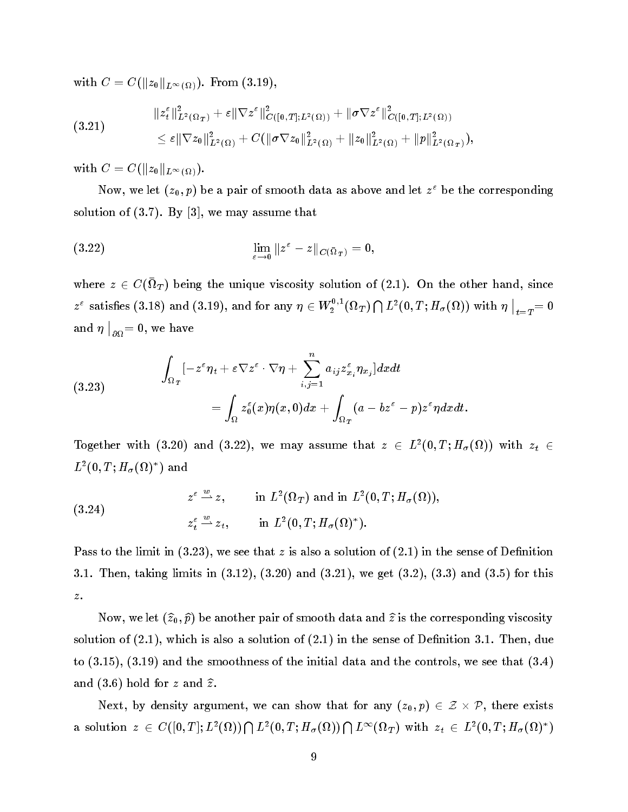$\cdots$  from  $\cdots$   $\cdots$   $\cdots$   $\cdots$   $\cdots$   $\cdots$   $\cdots$   $\cdots$ 

$$
(3.21) \t\t\t\t\mathbb{E}[||z_1||_{L^2(\Omega_T)}^2 + \varepsilon ||\nabla z^{\varepsilon}||_{C([0,T];L^2(\Omega))}^2 + ||\sigma \nabla z^{\varepsilon}||_{C([0,T];L^2(\Omega))}^2 \n\t\t\leq \varepsilon ||\nabla z_0||_{L^2(\Omega)}^2 + C(||\sigma \nabla z_0||_{L^2(\Omega)}^2 + ||z_0||_{L^2(\Omega)}^2 + ||p||_{L^2(\Omega_T)}^2),
$$

 $\cdots$ ...  $\sim$  C( $\|u_0\|_{L^{\infty}}$  ( $\Omega$ )).

Now, we let  $(z_0, p)$  be a pair of smooth data as above and let  $z$  be the corresponding solution of  $(3.7)$ . By  $[3]$ , we may assume that

(3.22) 
$$
\lim_{\varepsilon \to 0} \|z^{\varepsilon} - z\|_{C(\bar{\Omega}_T)} = 0,
$$

where  $z \in \mathcal{C}(M_T)$  being the unique viscosity solution of  $(2.1)$ . On the other hand, since  $z^\varepsilon$  satisfies  $(3.18)$  and  $(3.19)$ , and for any  $\eta\in W_2^{\mathsf{u},1}(\Omega_T)\bigcap L^2(0,T;H_\sigma(\Omega))$  with  $\eta\big|_{t=1}$  $\big|_{t = T} = 0$  $\cdots$  and  $\cdots$  $\big|_{\partial\Omega}=0, \text{ we have }$ 

(3.23) 
$$
\int_{\Omega_T} [-z^{\varepsilon} \eta_t + \varepsilon \nabla z^{\varepsilon} \cdot \nabla \eta + \sum_{i,j=1}^n a_{ij} z^{\varepsilon}_{x_i} \eta_{x_j}] dx dt \n= \int_{\Omega} z^{\varepsilon}_0(x) \eta(x,0) dx + \int_{\Omega_T} (a - bz^{\varepsilon} - p) z^{\varepsilon} \eta dx dt.
$$

Together with (3.20) and (3.22), we may assume that  $z \in L^2(0,1; H_\sigma(\Omega))$  with  $z_t \in L^2(\Omega)$  $L^-(0,1;H_\sigma(M))$  and

(3.24) 
$$
z^{\varepsilon} \stackrel{w}{\longrightarrow} z, \quad \text{in } L^{2}(\Omega_{T}) \text{ and in } L^{2}(0, T; H_{\sigma}(\Omega)),
$$

$$
z_{t}^{\varepsilon} \stackrel{w}{\longrightarrow} z_{t}, \quad \text{in } L^{2}(0, T; H_{\sigma}(\Omega)^{*}).
$$

Pass to the limit in  $(3.23)$ , we see that z is also a solution of  $(2.1)$  in the sense of Definition 3.1. Then, taking limits in (3.12), (3.20) and (3.21), we get (3.2), (3.3) and (3.5) for this  $\boldsymbol{z}$  .

Now, we let  $(\widehat{z}_0, \widehat{p})$  be another pair of smooth data and  $\widehat{z}$  is the corresponding viscosity solution of  $(2.1)$ , which is also a solution of  $(2.1)$  in the sense of Definition 3.1. Then, due to (3.15), (3.19) and the smoothness of the initial data and the controls, we see that (3.4) and  $(3.6)$  hold for z and  $\hat{z}$ .

 $\mathcal{L}(\mathcal{L}(\mathcal{L}))$  density argument, we can show that for any  $(\mathcal{L}(\mathcal{L}))$   $\subset$   $\mathcal{L}(\mathcal{L})$ , there exists a solution  $z \in C([0,T];L^2(\Omega)) \bigcap L^2(0,T;H_\sigma(\Omega)) \bigcap L^\infty(\Omega_T)$  with  $z_t \in L^2(0,T;H_\sigma(\Omega)^*)$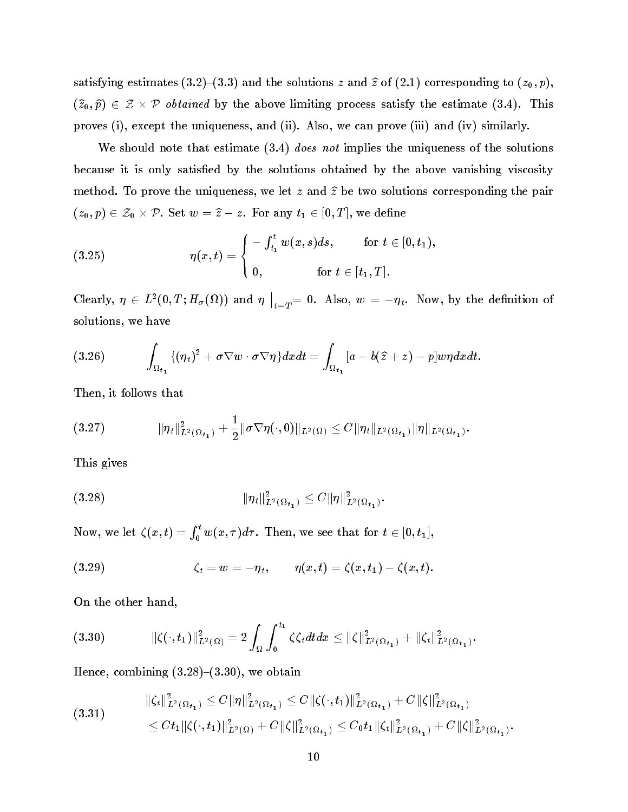satisfying estimates (3.2)-(3.3) and the solutions z and  $\hat{z}$  of (2.1) corresponding to  $(z_0, p)$ , (zb0; pb) 2 Z-P obtained by the above limiting process satisfy the estimate (3.4). This proves (i), except the uniqueness, and (ii). Also, we can prove (iii) and (iv) similarly.

We should note that estimate  $(3.4)$  does not implies the uniqueness of the solutions because it is only satisfied by the solutions obtained by the above vanishing viscosity method. To prove the uniqueness, we let z and  $\hat{z}$  be two solutions corresponding the pair  $\mathcal{L}_{\mathcal{L}}(x_0)$  is  $\mathcal{L}_{\mathcal{L}}(y_0)$  . For any the set  $\mathcal{L}_{\mathcal{L}}(y_0)$  is the definition

(3.25) 
$$
\eta(x,t) = \begin{cases} -\int_{t_1}^t w(x,s)ds, & \text{for } t \in [0,t_1), \\ 0, & \text{for } t \in [t_1,T]. \end{cases}
$$

Clearly,  $\eta \in L^{-1}(0,1; \Pi_{\sigma}(M))$  and  $\eta_{\perp}$  $\big|_{t=T} = 0$ . Also,  $w = -\eta_t$ . Now, by the definition of solutions, we have

(3.26) 
$$
\int_{\Omega_{t_1}} \{(\eta_t)^2 + \sigma \nabla w \cdot \sigma \nabla \eta\} dx dt = \int_{\Omega_{t_1}} [a - b(\widehat{z} + z) - p] w \eta dx dt.
$$

Then, it follows that

(3:27) ktk L<sup>2</sup> ( t1 ) <sup>+</sup> 1 kr(; 0)kL2 ( ) CktkL2 ( t1 )kkL2 ( t1 ):

This gives

(3:28) ktk L2 ( t1 ) Ckk L2 ( t1 )

Now, we let  $\zeta(x,t)=\int_0^t w(x,\tau)d\tau.$  Then, we see that for  $t\in[0,t_1],$ 

(3.29) 
$$
\zeta_t = w = -\eta_t, \qquad \eta(x,t) = \zeta(x,t_1) - \zeta(x,t).
$$

On the other hand,

$$
(3.30) \t\t\t\t\t\|\zeta(\cdot,t_1)\|_{L^2(\Omega)}^2=2\int_{\Omega}\int_0^{t_1}\zeta\zeta_t dtdx\leq \|\zeta\|_{L^2(\Omega_{t_1})}^2+\|\zeta_t\|_{L^2(\Omega_{t_1})}^2.
$$

Hence, combining  $(3.28)-(3.30)$ , we obtain

$$
(3.31) \qquad \qquad ||\zeta_t||_{L^2(\Omega_{t_1})}^2 \leq C ||\eta||_{L^2(\Omega_{t_1})}^2 \leq C ||\zeta(\cdot,t_1)||_{L^2(\Omega_{t_1})}^2 + C ||\zeta||_{L^2(\Omega_{t_1})}^2
$$
  

$$
\leq Ct_1 ||\zeta(\cdot,t_1)||_{L^2(\Omega)}^2 + C ||\zeta||_{L^2(\Omega_{t_1})}^2 \leq C_0 t_1 ||\zeta_t||_{L^2(\Omega_{t_1})}^2 + C ||\zeta||_{L^2(\Omega_{t_1})}^2.
$$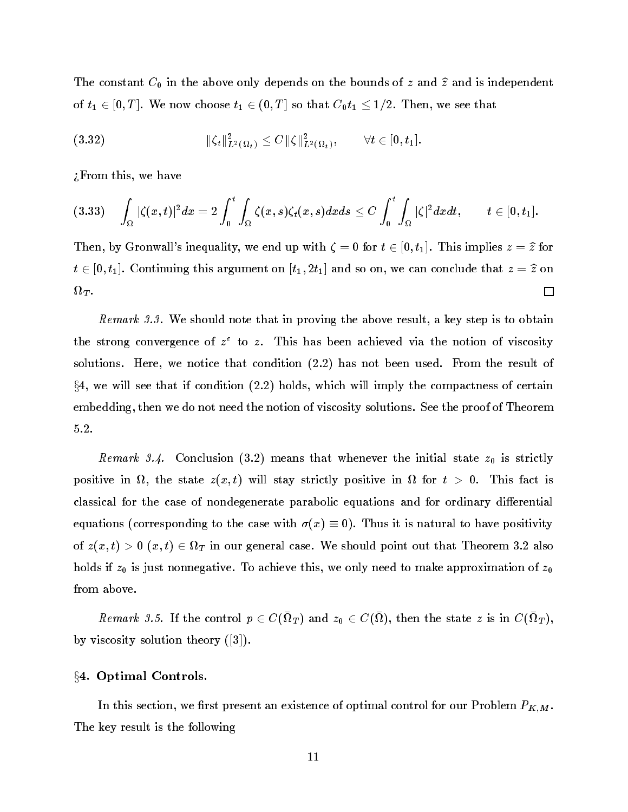The constant  $C_0$  in the above only depends on the bounds of z and  $\hat{z}$  and is independent of  $t_1 \in [0, T]$ . We now choose  $t_1 \in (0, T]$  so that  $C_0 t_1 \leq 1/2$ . Then, we see that

(3.32) 
$$
\|\zeta_t\|_{L^2(\Omega_t)}^2 \leq C \|\zeta\|_{L^2(\Omega_t)}^2, \qquad \forall t \in [0, t_1].
$$

 $i$ From this, we have

$$
(3.33)\quad \int_{\Omega}|\zeta(x,t)|^2dx=2\int_0^t\int_{\Omega}\zeta(x,s)\zeta_t(x,s)dxds\leq C\int_0^t\int_{\Omega}|\zeta|^2dxdt,\qquad t\in[0,t_1].
$$

Then, by Gronwall's inequality, we end up with  $\zeta = 0$  for  $t \in [0, t_1]$ . This implies  $z = \hat{z}$  for  $t \in [0, t]$ . Continuing this argument on  $[t]$ ; 2t1] and so on, we can conclude that  $x \in \mathcal{I}$ 口 The state of the state of the state of the state of the state of the state of the state of the state of the state of

Remark 3.3. We should note that in proving the above result, a key step is to obtain the strong convergence of  $z^+$  to  $z^-$  ins has been achieved via the notion of viscosity solutions. Here, we notice that condition (2.2) has not been used. From the result of  $\S4$ , we will see that if condition (2.2) holds, which will imply the compactness of certain embedding, then we do not need the notion of viscosity solutions. See the proof of Theorem 5.2.

Remark 3.4. Conclusion (3.2) means that whenever the initial state  $z_0$  is strictly  $p$  vertice in the state strictly  $p$  ( $p$  is the strictly positive in the state  $\lambda$  ,  $\lambda$  ,  $\lambda$  ,  $\lambda$  ,  $\lambda$  ,  $\lambda$  ,  $\lambda$ classical for the case of nondegenerate parabolic equations and for ordinary differential equations (corresponding to the case with  $\sigma(x) \equiv 0$ ). Thus it is natural to have positivity of z(x; t) <sup>&</sup>gt; 0 (x; t) 2 <sup>T</sup> in our general case. We should point out that Theorem 3.2 also holds if  $z_0$  is just nonnegative. To achieve this, we only need to make approximation of  $z_0$ from above.

Let the result  $S$ ,  $S$ ,  $S$  and  $S$  and  $S$  and  $S$  are  $S$  control the state  $S$  is in  $C(3T)$ , by viscosity solution theory ([3]).

#### §4. Optimal Controls.

In this section, we first present an existence of optimal control for our Problem  $P_{K,M}$ . The key result is the following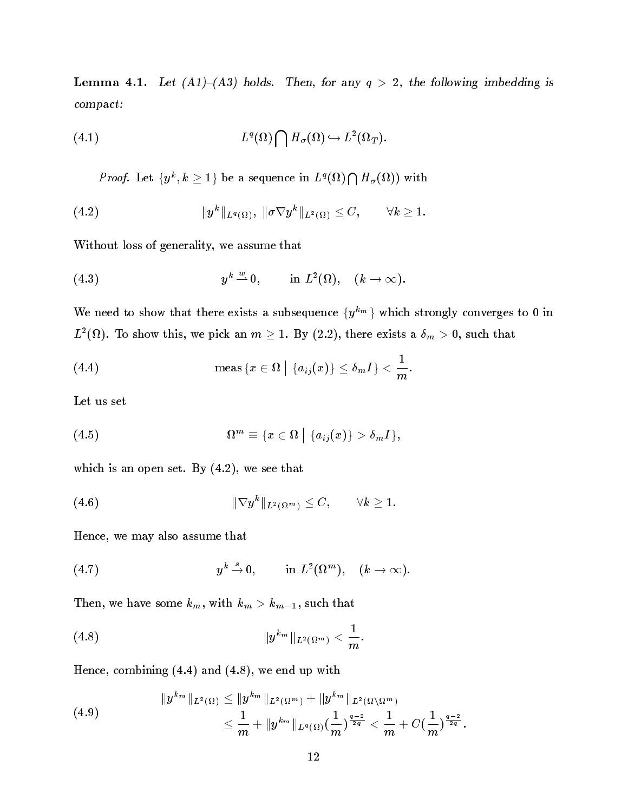Lemma 4.1. Let  $(A1)-(A3)$  holds. Then, for any  $q > 2$ , the following imbedding is compact:

(4.1) 
$$
L^{q}(\Omega) \bigcap H_{\sigma}(\Omega) \hookrightarrow L^{2}(\Omega_{T}).
$$

*Proof.* Let  $\{y^k, k \geq 1\}$  be a sequence in  $L^q(\Omega) \bigcap H_\sigma(\Omega)$  with

(4.2) 
$$
\|y^k\|_{L^q(\Omega)}, \ \|\sigma \nabla y^k\|_{L^2(\Omega)} \leq C, \qquad \forall k \geq 1.
$$

Without loss of generality, we assume that

(4.3) 
$$
y^k \stackrel{w}{\rightharpoonup} 0, \qquad \text{in } L^2(\Omega), \quad (k \to \infty).
$$

We need to show that there exists a subsequence  $\{y^{k_m}\}\$  which strongly converges to 0 in  $L^-(M)$ . To show this, we pick an  $m \geq 1$ . By (2.2), there exists a  $\sigma_m > 0$ , such that

(4.4) 
$$
\quad \text{meas } \{x \in \Omega \mid \{a_{ij}(x)\} \leq \delta_m I\} < \frac{1}{m}.
$$

Let us set

(4.5) 
$$
\Omega^m \equiv \{x \in \Omega \mid \{a_{ij}(x)\} > \delta_m I\},\
$$

which is an open set. By (4.2), we see that

(4.6) 
$$
\|\nabla y^k\|_{L^2(\Omega^m)} \leq C, \qquad \forall k \geq 1.
$$

Hence, we may also assume that

(4.7) 
$$
y^k \stackrel{s}{\rightarrow} 0
$$
, in  $L^2(\Omega^m)$ ,  $(k \rightarrow \infty)$ .

Then, we have some  $k_m$ , with  $k_m > k_{m-1}$ , such that

(4.8) 
$$
\|y^{k_m}\|_{L^2(\Omega^m)} < \frac{1}{m}.
$$

Hence, combining (4.4) and (4.8), we end up with

(4.9) 
$$
||y^{k_m}||_{L^2(\Omega)} \le ||y^{k_m}||_{L^2(\Omega^m)} + ||y^{k_m}||_{L^2(\Omega \setminus \Omega^m)}
$$

$$
\le \frac{1}{m} + ||y^{k_m}||_{L^q(\Omega)} \left(\frac{1}{m}\right)^{\frac{q-2}{2q}} < \frac{1}{m} + C\left(\frac{1}{m}\right)^{\frac{q-2}{2q}}.
$$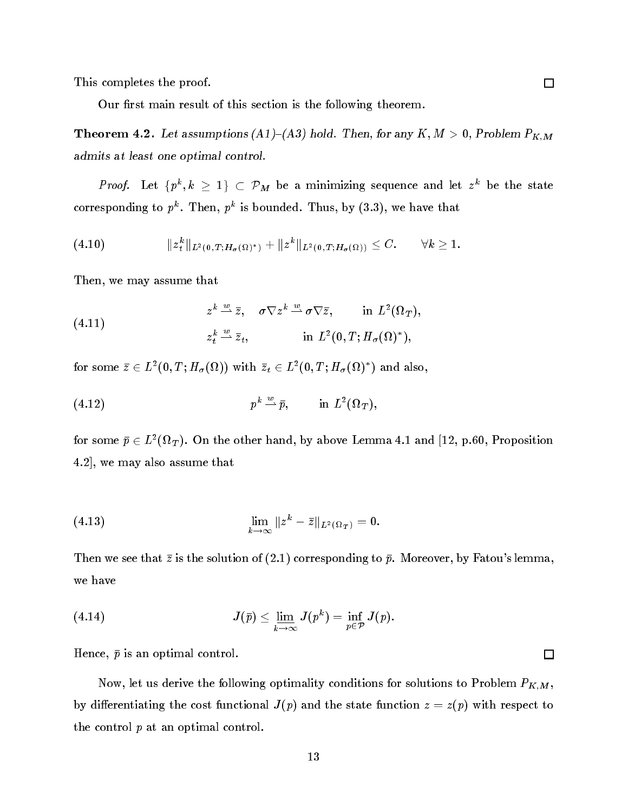This completes the proof.

Our first main result of this section is the following theorem.

**Theorem 4.2.** Let assumptions (A1)–(A3) hold. Then, for any  $K, M > 0$ , Problem  $P_{K,M}$ admits at least one optimal control.

*Proof.* Let  $\{p^k, k \geq 1\} \subset P_M$  be a minimizing sequence and let zee be the state corresponding to  $p^{\alpha}$ . Then,  $p^{\alpha}$  is bounded. Thus, by (3.3), we have that

(4.10) 
$$
||z_t^k||_{L^2(0,T;H_{\sigma}(\Omega)^*)} + ||z^k||_{L^2(0,T;H_{\sigma}(\Omega))} \leq C. \qquad \forall k \geq 1.
$$

Then, we may assume that

(4.11) 
$$
z^k \stackrel{w}{\longrightarrow} \bar{z}, \quad \sigma \nabla z^k \stackrel{w}{\longrightarrow} \sigma \nabla \bar{z}, \quad \text{in } L^2(\Omega_T),
$$

$$
z_t^k \stackrel{w}{\longrightarrow} \bar{z}_t, \quad \text{in } L^2(0,T;H_\sigma(\Omega)^*),
$$

for some  $z \in L^2(0,1; H_{\sigma}(M))$  with  $z_t \in L^2(0,1; H_{\sigma}(M))$  and also,

(4:12) <sup>p</sup> <sup>k</sup> w\*p; in L2 ( <sup>T</sup> );

for some  $p \in L^-(M_T)$ . On the other hand, by above Lemma 4.1 and [12, p.60, Proposition] 4.2], we may also assume that

(4.13) 
$$
\lim_{k \to \infty} \|z^k - \bar{z}\|_{L^2(\Omega_T)} = 0.
$$

Then we see that  $\bar{z}$  is the solution of (2.1) corresponding to  $\bar{p}$ . Moreover, by Fatou's lemma, we have

(4.14) 
$$
J(\bar{p}) \leq \underline{\lim}_{k \to \infty} J(p^k) = \inf_{p \in \mathcal{P}} J(p).
$$

Hence,  $\bar{p}$  is an optimal control.

Now, let us derive the following optimality conditions for solutions to Problem  $P_{K,M}$ , by differentiating the cost functional  $J(p)$  and the state function  $z = z(p)$  with respect to the control <sup>p</sup> at an optimal control.

 $\Box$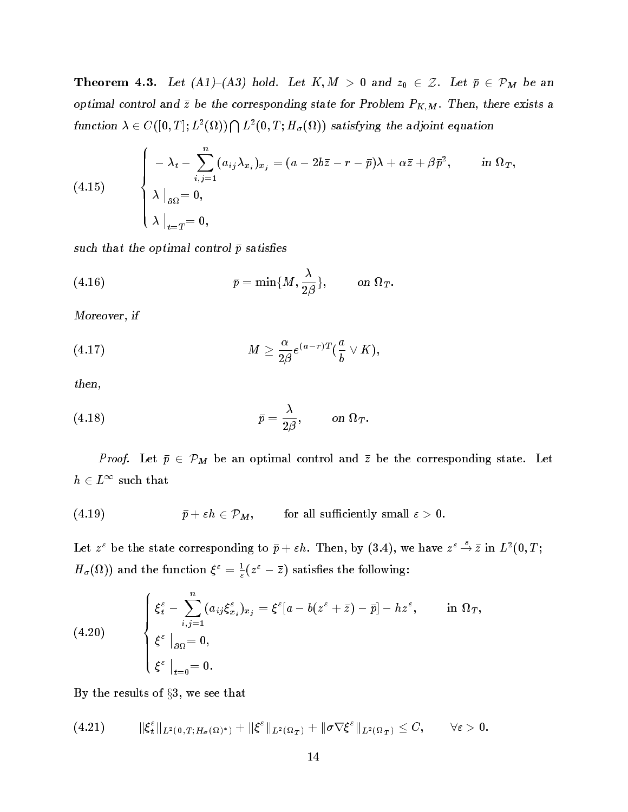**Theorem 4.3.** Let  $(A1)$ – $(A3)$  hold. Let  $K, M > 0$  and  $z_0 \in \mathcal{Z}$ . Let  $\bar{p} \in \mathcal{P}_M$  be an optimal control and  $\bar{z}$  be the corresponding state for Problem  $P_{K,M}$ . Then, there exists a function  $\lambda \in C([0,T];L^2(\Omega)) \bigcap L^2(0,T;H_\sigma(\Omega))$  satisfying the adjoint equation

(4.15) 
$$
\begin{cases}\n-\lambda_t - \sum_{i,j=1}^n (a_{ij}\lambda_{x_i})_{x_j} = (a - 2b\bar{z} - r - \bar{p})\lambda + \alpha \bar{z} + \beta \bar{p}^2, & \text{in } \Omega_T, \\
\lambda \big|_{\partial \Omega} = 0, & \\
\lambda \big|_{t=T} = 0,\n\end{cases}
$$

such that the optimal control  $\bar{p}$  satisfies

(4.16) 
$$
\bar{p} = \min\{M, \frac{\lambda}{2\beta}\}, \quad \text{on } \Omega_T.
$$

Moreover, if

(4.17) 
$$
M \geq \frac{\alpha}{2\beta} e^{(a-r)T} (\frac{a}{b} \vee K),
$$

then,

(4.18) 
$$
\bar{p} = \frac{\lambda}{2\beta}, \quad \text{on } \Omega_T.
$$

*Proof.* Let  $\bar{p} \in \mathcal{P}_M$  be an optimal control and  $\bar{z}$  be the corresponding state. Let  $n \in L$  such that

$$
(4.19) \qquad \qquad \bar{p}+\varepsilon h\in \mathcal{P}_M, \qquad \text{ for all sufficiently small $\varepsilon>0$}.
$$

Let  $z^{\epsilon}$  be the state corresponding to  $\bar{p}+\varepsilon h$ . Then, by (3.4), we have  $z^{\epsilon} \to \bar{z}$  in  $L^{2}(0,T;$  $H_{\sigma}(M)$  and the function  $\zeta^* = \frac{1}{\varepsilon}(z^* - z)$  satisfies the following:

$$
(4.20) \quad \left\{ \begin{array}{l} \xi^{\varepsilon}_t - \displaystyle\sum_{i,j=1}^n (a_{ij}\xi^{\varepsilon}_{x_i})_{x_j} = \xi^{\varepsilon}[a - b(z^{\varepsilon} + \bar{z}) - \bar{p}] - h z^{\varepsilon}, \qquad \text{in} \ \Omega_T, \\ \xi^{\varepsilon} \mid_{\partial\Omega} = 0, \\ \xi^{\varepsilon} \mid_{t=0} = 0. \end{array} \right.
$$

By the results of  $\S 3$ , we see that

(4:21) k " <sup>t</sup> kL<sup>2</sup> (0;T ;H( ) ) <sup>+</sup> k "kL2 ( <sup>T</sup> ) <sup>+</sup> kr "kL2 ( <sup>T</sup> ) C; 8"<sup>&</sup>gt; 0: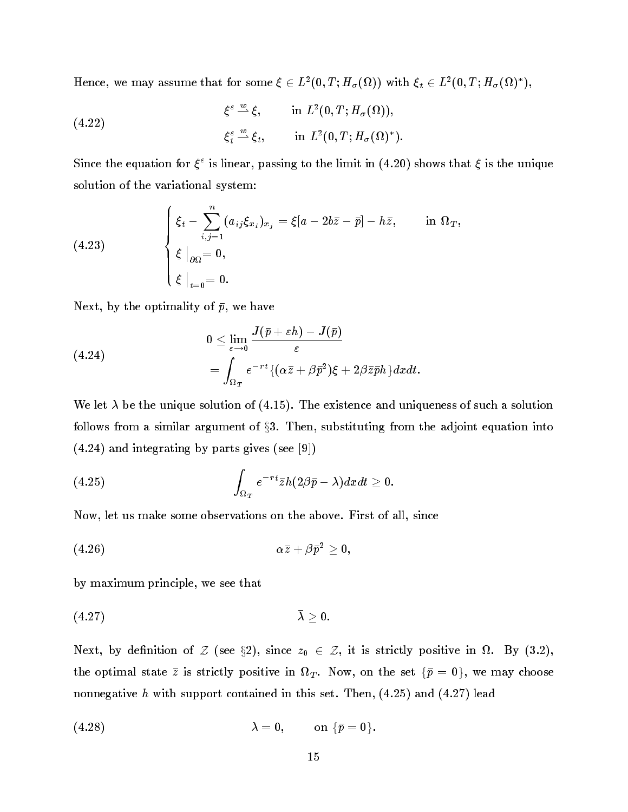Hence, we may assume that for some  $\zeta \in L^2(0,1;H_\sigma(M))$  with  $\zeta_t \in L^2(0,1;H_\sigma(M))$ ,

(4.22) 
$$
\xi^{\varepsilon} \stackrel{w}{\longrightarrow} \xi, \qquad \text{in } L^{2}(0,T;H_{\sigma}(\Omega)),
$$

$$
\xi^{\varepsilon} \stackrel{w}{\longrightarrow} \xi_{t}, \qquad \text{in } L^{2}(0,T;H_{\sigma}(\Omega)^{*}).
$$

Since the equation for  $\zeta^*$  is finear, passing to the finite in (4.20) shows that  $\zeta$  is the unique solution of the variational system:

(4.23) 
$$
\begin{cases} \xi_t - \sum_{i,j=1}^n (a_{ij}\xi_{x_i})_{x_j} = \xi[a - 2b\bar{z} - \bar{p}] - h\bar{z}, & \text{in } \Omega_T, \\ \xi \big|_{\partial\Omega} = 0, \\ \xi \big|_{t=0} = 0. \end{cases}
$$

Next, by the optimality of  $\bar{p}$ , we have

(4.24)  
\n
$$
0 \leq \lim_{\varepsilon \to 0} \frac{J(\bar{p} + \varepsilon h) - J(\bar{p})}{\varepsilon} = \int_{\Omega_T} e^{-rt} \{(\alpha \bar{z} + \beta \bar{p}^2)\xi + 2\beta \bar{z}\bar{p}h\} dxdt.
$$

We let  $\lambda$  be the unique solution of (4.15). The existence and uniqueness of such a solution follows from a similar argument of  $\S 3$ . Then, substituting from the adjoint equation into  $(4.24)$  and integrating by parts gives (see [9])

(4.25) 
$$
\int_{\Omega_T} e^{-rt} \bar{z} h(2\beta \bar{p} - \lambda) dx dt \geq 0.
$$

Now, let us make some observations on the above. First of all, since

$$
\alpha \bar{z} + \beta \bar{p}^2 \geq 0,
$$

by maximum principle, we see that

$$
\bar{\lambda} \geq 0.
$$

Next, by denition of <sup>Z</sup> (see x2), since z0 2 Z, it is strictly positive in . By (3.2), the optimal state  $\alpha$  is strictly positive in the set for  $\alpha$  and the set for  $\alpha$  , we may choose the set nonnegative h with support contained in this set. Then,  $(4.25)$  and  $(4.27)$  lead

$$
\lambda = 0, \qquad \text{on } {\bar p} = 0.
$$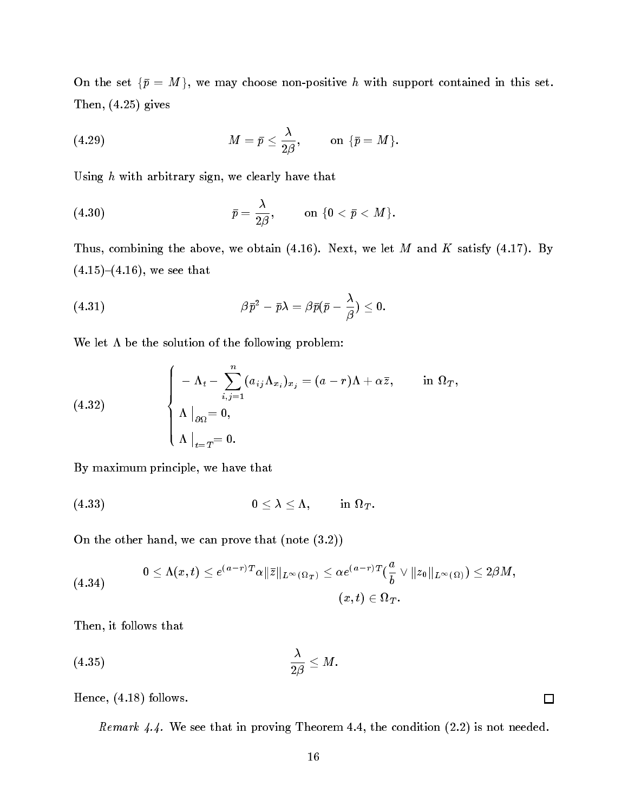On the set  $\{\bar{p} = M\}$ , we may choose non-positive h with support contained in this set. Then, (4.25) gives

$$
(4.29) \hspace{3.1em} M = \bar{p} \leq \frac{\lambda}{2\beta}, \hspace{1em} \text{on } \{\bar{p} = M\}.
$$

Using  $h$  with arbitrary sign, we clearly have that

$$
\bar{p}=\frac{\lambda}{2\beta},\qquad\text{ on }\{0<\bar{p}
$$

Thus, combining the above, we obtain  $(4.16)$ . Next, we let M and K satisfy  $(4.17)$ . By  $(4.15)-(4.16)$ , we see that

(4.31) 
$$
\beta \bar{p}^2 - \bar{p}\lambda = \beta \bar{p}(\bar{p} - \frac{\lambda}{\beta}) \leq 0.
$$

We let  $\Lambda$  be the solution of the following problem:

(4.32) 
$$
\begin{cases}\n-\Lambda_t - \sum_{i,j=1}^n (a_{ij}\Lambda_{x_i})_{x_j} = (a-r)\Lambda + \alpha \bar{z}, & \text{in } \Omega_T, \\
\Lambda \big|_{\partial \Omega} = 0, \\
\Lambda \big|_{t=T} = 0.\n\end{cases}
$$

By maximum principle, we have that

$$
(4.33) \t\t 0 \leq \lambda \leq \Lambda, \t\t \text{in } \Omega_T.
$$

On the other hand, we can prove that (note (3.2))

$$
(4.34) \qquad \qquad 0\leq \Lambda(x,t)\leq e^{(a-r)T}\alpha\|\bar{z}\|_{L^{\infty}(\Omega_T)}\leq \alpha e^{(a-r)T}(\frac{a}{b}\vee\|z_0\|_{L^{\infty}(\Omega)})\leq 2\beta M,\\[0.4cm] (x,t)\in \Omega_T.
$$

Then, it follows that

$$
(4.35) \qquad \qquad \frac{\lambda}{2\beta} \leq M.
$$

Hence, (4.18) follows.

Remark 4.4. We see that in proving Theorem 4.4, the condition (2.2) is not needed.

 $\Box$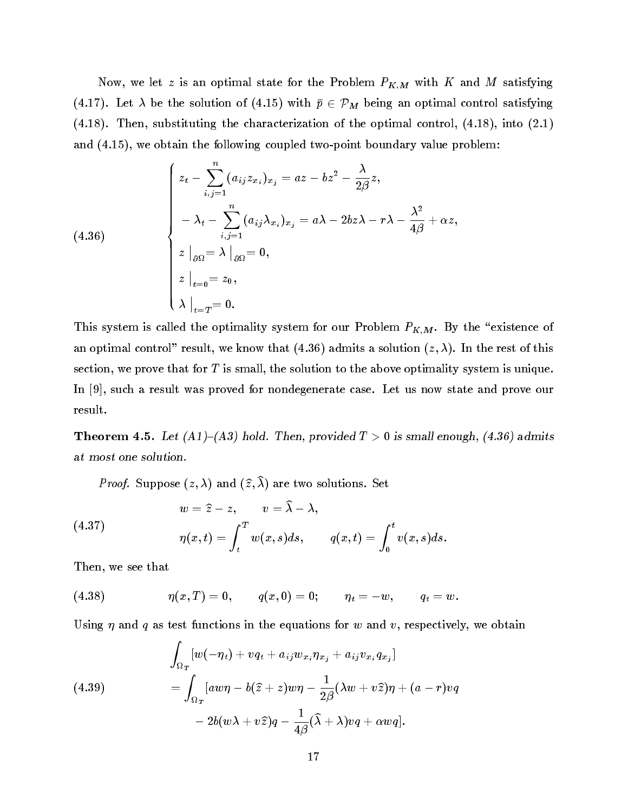Now, we let z is an optimal state for the Problem  $P_{K,M}$  with K and M satisfying (4.17). Let  $\lambda$  be the solution of (4.15) with  $\bar{p} \in \mathcal{P}_M$  being an optimal control satisfying (4.18). Then, substituting the characterization of the optimal control, (4.18), into (2.1) and (4.15), we obtain the following coupled two-point boundary value problem:

$$
(4.36)
$$
\n
$$
\begin{cases}\nz_t - \sum_{i,j=1}^n (a_{ij} z_{x_i})_{x_j} = az - bz^2 - \frac{\lambda}{2\beta}z, \\
-\lambda_t - \sum_{i,j=1}^n (a_{ij} \lambda_{x_i})_{x_j} = a\lambda - 2bz\lambda - r\lambda - \frac{\lambda^2}{4\beta} + \alpha z, \\
z \mid_{\partial\Omega} = \lambda \mid_{\partial\Omega} = 0, \\
z \mid_{t=0} = z_0, \\
\lambda \mid_{t=T} = 0.\n\end{cases}
$$

This system is called the optimality system for our Problem  $P_{K,M}$ . By the "existence of an optimal control" result, we know that (4.36) admits a solution  $(z, \lambda)$ . In the rest of this section, we prove that for  $T$  is small, the solution to the above optimality system is unique. In [9], such a result was proved for nondegenerate case. Let us now state and prove our result.

**Theorem 4.5.** Let (A1)–(A3) hold. Then, provided  $T > 0$  is small enough, (4.36) admits at most one solution.

*Proof.* Suppose  $(z, \lambda)$  and  $(\widehat{z}, \widehat{\lambda})$  are two solutions. Set

(4.37)  

$$
w = \hat{z} - z, \qquad v = \hat{\lambda} - \lambda,
$$

$$
\eta(x, t) = \int_t^T w(x, s) ds, \qquad q(x, t) = \int_0^t v(x, s) ds.
$$

Then, we see that

<sup>Z</sup>

(4.38) 
$$
\eta(x,T) = 0, \qquad q(x,0) = 0; \qquad \eta_t = -w, \qquad q_t = w.
$$

Using  $\eta$  and  $q$  as test functions in the equations for w and v, respectively, we obtain

$$
\int_{\Omega_T} [w(-\eta_t) + vq_t + a_{ij}w_{x_i}\eta_{x_j} + a_{ij}v_{x_i}q_{x_j}]
$$
\n
$$
= \int_{\Omega_T} [aw\eta - b(\hat{z} + z)w\eta - \frac{1}{2\beta}(\lambda w + v\hat{z})\eta + (a - r)vq
$$
\n
$$
- 2b(w\lambda + v\hat{z})q - \frac{1}{4\beta}(\hat{\lambda} + \lambda)vq + \alpha wq].
$$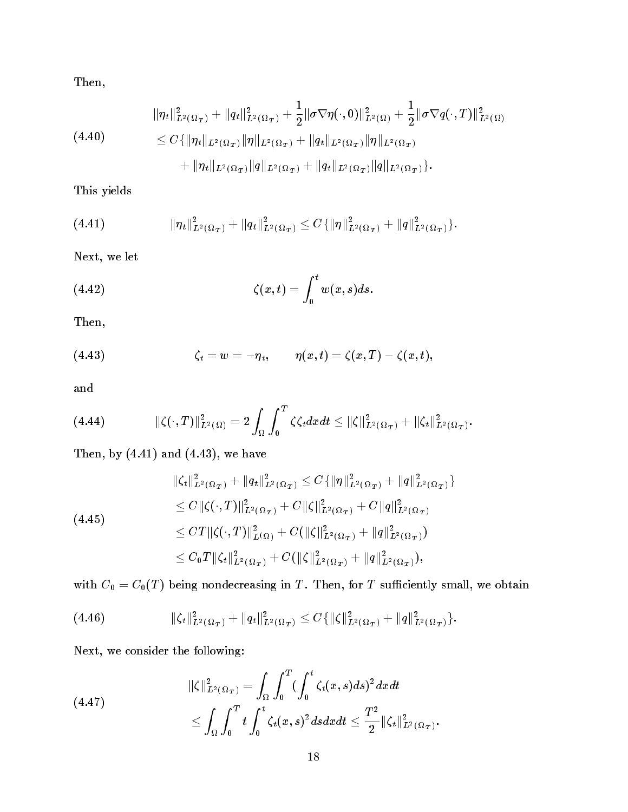Then,

$$
\|\eta_t\|_{L^2(\Omega_T)}^2 + \|q_t\|_{L^2(\Omega_T)}^2 + \frac{1}{2} \|\sigma \nabla \eta(\cdot, 0)\|_{L^2(\Omega)}^2 + \frac{1}{2} \|\sigma \nabla q(\cdot, T)\|_{L^2(\Omega)}^2
$$
  
(4.40)  

$$
\leq C \{ \|\eta_t\|_{L^2(\Omega_T)} \|\eta\|_{L^2(\Omega_T)} + \|q_t\|_{L^2(\Omega_T)} \|\eta\|_{L^2(\Omega_T)}
$$

$$
+ \|\eta_t\|_{L^2(\Omega_T)} \|q\|_{L^2(\Omega_T)} + \|q_t\|_{L^2(\Omega_T)} \|q\|_{L^2(\Omega_T)} \}.
$$

This yields

(4.41) 
$$
\|\eta_t\|_{L^2(\Omega_T)}^2+\|q_t\|_{L^2(\Omega_T)}^2\leq C\{\|\eta\|_{L^2(\Omega_T)}^2+\|q\|_{L^2(\Omega_T)}^2\}.
$$

Next, we let

(4.42) 
$$
\zeta(x,t) = \int_0^t w(x,s)ds.
$$

Then,

(4.43) 
$$
\zeta_t = w = -\eta_t, \qquad \eta(x,t) = \zeta(x,T) - \zeta(x,t),
$$

and

(4.44) 
$$
\|\zeta(\cdot,T)\|_{L^2(\Omega)}^2 = 2 \int_{\Omega} \int_0^T \zeta \zeta_t dx dt \leq \|\zeta\|_{L^2(\Omega_T)}^2 + \|\zeta_t\|_{L^2(\Omega_T)}^2.
$$

Then, by  $(4.41)$  and  $(4.43)$ , we have

$$
\begin{aligned}\n\|\zeta_t\|_{L^2(\Omega_T)}^2 + \|q_t\|_{L^2(\Omega_T)}^2 &\leq C \{\|\eta\|_{L^2(\Omega_T)}^2 + \|q\|_{L^2(\Omega_T)}^2\} \\
&\leq C \|\zeta(\cdot,T)\|_{L^2(\Omega_T)}^2 + C \|\zeta\|_{L^2(\Omega_T)}^2 + C \|q\|_{L^2(\Omega_T)}^2 \\
&\leq C T \|\zeta(\cdot,T)\|_{L^2(\Omega)}^2 + C (\|\zeta\|_{L^2(\Omega_T)}^2 + \|q\|_{L^2(\Omega_T)}^2) \\
&\leq C_0 T \|\zeta_t\|_{L^2(\Omega_T)}^2 + C (\|\zeta\|_{L^2(\Omega_T)}^2 + \|q\|_{L^2(\Omega_T)}^2),\n\end{aligned}
$$

with  $C_0 = C_0(T)$  being nondecreasing in T. Then, for T sufficiently small, we obtain

(4.46) 
$$
\|\zeta_t\|_{L^2(\Omega_T)}^2 + \|q_t\|_{L^2(\Omega_T)}^2 \leq C \{\|\zeta\|_{L^2(\Omega_T)}^2 + \|q\|_{L^2(\Omega_T)}^2\}.
$$

Next, we consider the following:

(4.47) 
$$
\|\zeta\|_{L^2(\Omega_T)}^2 = \int_{\Omega} \int_0^T (\int_0^t \zeta_t(x,s)ds)^2 dxdt \leq \int_{\Omega} \int_0^T t \int_0^t \zeta_t(x,s)^2 ds dxdt \leq \frac{T^2}{2} \|\zeta_t\|_{L^2(\Omega_T)}^2.
$$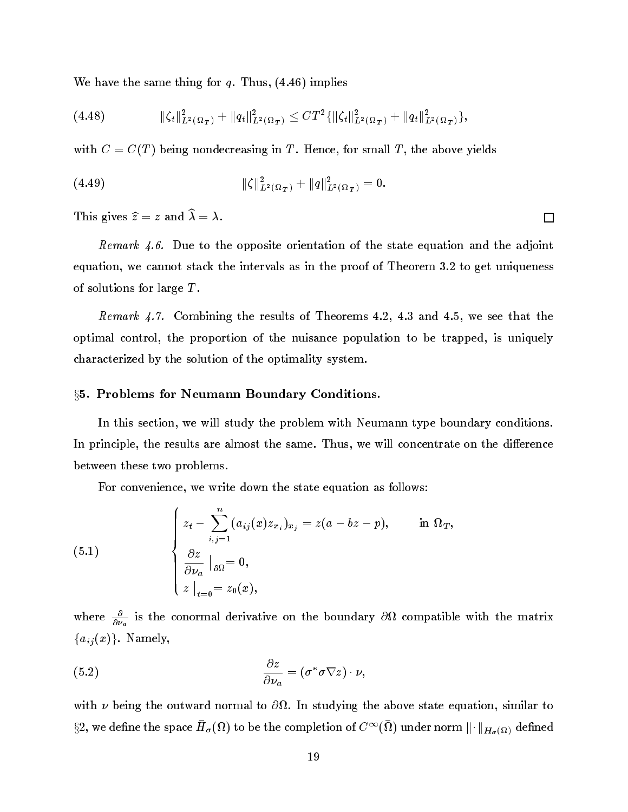We have the same thing for  $q$ . Thus,  $(4.46)$  implies

$$
(4.48) \t\t\t\t\t\|\zeta_t\|_{L^2(\Omega_T)}^2 + \|q_t\|_{L^2(\Omega_T)}^2 \leq C T^2 \{\|\zeta_t\|_{L^2(\Omega_T)}^2 + \|q_t\|_{L^2(\Omega_T)}^2\},
$$

with  $C = C(T)$  being nondecreasing in T. Hence, for small T, the above yields

(4.49) 
$$
\|\zeta\|_{L^2(\Omega_T)}^2 + \|q\|_{L^2(\Omega_T)}^2 = 0.
$$

This gives  $\widehat{z} = z$  and  $\widehat{\lambda} = \lambda$ .

Remark 4.6. Due to the opposite orientation of the state equation and the adjoint equation, we cannot stack the intervals as in the proof of Theorem 3.2 to get uniqueness of solutions for large  $T$ .

Remark 4.7. Combining the results of Theorems 4.2, 4.3 and 4.5, we see that the optimal control, the proportion of the nuisance population to be trapped, is uniquely characterized by the solution of the optimality system.

# §5. Problems for Neumann Boundary Conditions.

In this section, we will study the problem with Neumann type boundary conditions. In principle, the results are almost the same. Thus, we will concentrate on the difference between these two problems.

For convenience, we write down the state equation as follows:

(5.1) 
$$
\begin{cases} z_t - \sum_{i,j=1}^n (a_{ij}(x)z_{x_i})_{x_j} = z(a - bz - p), & \text{in } \Omega_T, \\ \frac{\partial z}{\partial \nu_a} \mid_{\partial \Omega} = 0, \\ z \mid_{t=0} = z_0(x), \end{cases}
$$

where  $\frac{\partial v_a}{\partial v_a}$  is the conormal derivative on the boundary  $\partial M$  compatible with the matrix  ${a_{ij}(x)}$ . Namely,

(5.2) 
$$
\frac{\partial z}{\partial \nu_a} = (\sigma^* \sigma \nabla z) \cdot \nu,
$$

with a being the outward normal to above state equation, since  $\alpha$  in state  $\alpha$  $\S 2$ , we denne the space  $H_{\sigma}(\mathcal{W})$  to be the completion of  $C^{**}(\mathcal{W})$  under norm  $\|\cdot\|_{H_{\sigma}(\Omega)}$  defined

口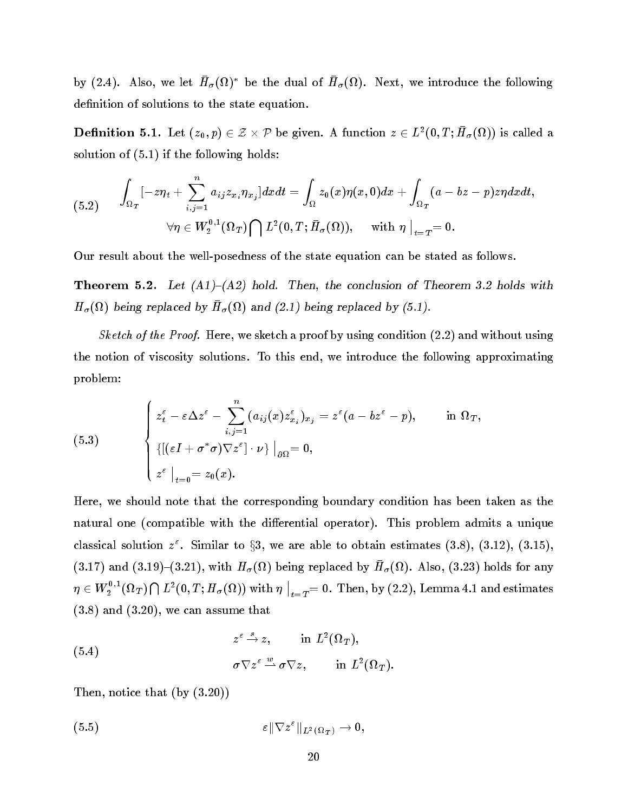by (2.4). Also, we let  $H_{\sigma}(M)$  be the dual of  $H_{\sigma}(M)$ . Next, we introduce the following definition of solutions to the state equation.

**Definition 5.1.** Let  $(z_0, p) \in \mathbb{Z} \times \mathbb{P}$  be given. A function  $z \in L^2(0, L^2, H^2(\Omega))$  is called a solution of (5.1) if the following holds:

$$
(5.2) \qquad \int_{\Omega_T}[-z\eta_t+\sum_{i,j=1}^n a_{ij}z_{x_i}\eta_{x_j}]dxdt=\int_{\Omega}z_0(x)\eta(x,0)dx+\int_{\Omega_T}(a-bz-p)z\eta dxdt,\\ \forall \eta\in W_2^{0,1}(\Omega_T)\bigcap L^2(0,T;\bar H_\sigma(\Omega)),\quad \text{ with } \eta\bigm|_{t=T}=0.
$$

Our result about the well-posedness of the state equation can be stated as follows.

**Theorem 5.2.** Let  $(A1)$ – $(A2)$  hold. Then, the conclusion of Theorem 3.2 holds with  $\mu_{\sigma}$ (se) being replaced by  $\mu_{\sigma}$ (se) and (2.1) being replaced by (5.1).

Sketch of the Proof. Here, we sketch a proof by using condition  $(2.2)$  and without using the notion of viscosity solutions. To this end, we introduce the following approximating problem:

(5.3) 
$$
\begin{cases} z_t^{\varepsilon} - \varepsilon \Delta z^{\varepsilon} - \sum_{i,j=1}^n (a_{ij}(x) z_{x_i}^{\varepsilon})_{x_j} = z^{\varepsilon} (a - bz^{\varepsilon} - p), & \text{in } \Omega_T, \\ \{ [(\varepsilon I + \sigma^* \sigma) \nabla z^{\varepsilon}] \cdot \nu \} \mid_{\partial \Omega} = 0, \\ z^{\varepsilon} \mid_{t=0} = z_0(x). \end{cases}
$$

Here, we should note that the corresponding boundary condition has been taken as the natural one (compatible with the differential operator). This problem admits a unique classical solution  $z$  . Similar to  $\S$ 3, we are able to obtain estimates (3.8), (3.12), (3.15), ( $3.17$ ) and ( $3.17$ ) ( $3.21$ ), with H<sub> $\sigma$ </sub>( $\Omega$ ) being replaced by H<sub> $\sigma$ </sub>( $\Omega$ ). Also, ( $3.23$ ) holds for any  $\eta \in W_2^{\sigma,1}(\Omega_T) \bigcap L^2(0,T;H_\sigma(\Omega)) \text{ with } \eta \bigm|_{t=1}$  $\big|_{t=T} = 0$ . Then, by  $(2.2)$ , Lemma 4.1 and estimates (3.8) and (3.20), we can assume that

(5.4) 
$$
z^{\varepsilon} \stackrel{s}{\rightharpoonup} z, \quad \text{in } L^2(\Omega_T),
$$
  
\n $\sigma \nabla z^{\varepsilon} \stackrel{w}{\rightharpoonup} \sigma \nabla z, \quad \text{in } L^2(\Omega_T).$ 

Then, notice that (by (3.20))

$$
\varepsilon \|\nabla z^{\varepsilon}\|_{L^2(\Omega_T)} \to 0,
$$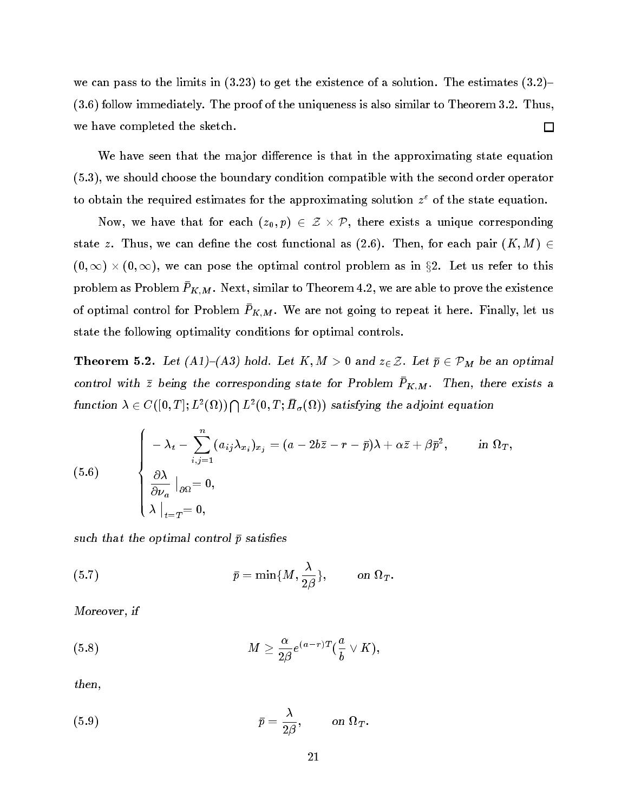we can pass to the limits in  $(3.23)$  to get the existence of a solution. The estimates  $(3.2)$ (3.6) follow immediately. The proof of the uniqueness is also similar to Theorem 3.2. Thus, we have completed the sketch.  $\Box$ 

We have seen that the major difference is that in the approximating state equation (5.3), we should choose the boundary condition compatible with the second order operator to obtain the required estimates for the approximating solution <sup>z</sup> " of the state equation.

 $\mathcal{L}(\mathcal{L}, \mathcal{L})$  we have that for each  $\{x_0, y_1, z_2, \ldots, z_n\}$  , there exists a unique corresponding state z. Thus, we can define the cost functional as  $(2.6)$ . Then, for each pair  $(K, M) \in$ (0), we can pose the optimal control problem as in the optimal control  $\mu$  in  $\mu$  as  $\mu$  . Let us refer to the  $\mu$ problem as Problem  $\bar{P}_{K,M}$ . Next, similar to Theorem 4.2, we are able to prove the existence of optimal control for Problem  $\bar{P}_{K,M}$ . We are not going to repeat it here. Finally, let us state the following optimality conditions for optimal controls.

**Theorem 5.2.** Let  $(A1)-(A3)$  hold. Let  $K, M > 0$  and  $z \in \mathcal{Z}$ . Let  $\bar{p} \in \mathcal{P}_M$  be an optimal control with  $\bar{z}$  being the corresponding state for Problem  $P_{K,M}$ . Then, there exists a function  $\lambda \in C([0,T];L^2(\Omega)) \bigcap L^2(0,T;H_\sigma(\Omega))$  satisfying the adjoint equation

(5.6)  

$$
\begin{cases}\n-\lambda_t - \sum_{i,j=1}^n (a_{ij}\lambda_{x_i})_{x_j} = (a - 2b\bar{z} - r - \bar{p})\lambda + \alpha \bar{z} + \beta \bar{p}^2, & \text{in } \Omega_T, \\
\frac{\partial \lambda}{\partial \nu_a} \big|_{\partial \Omega} = 0, & \\
\lambda \big|_{t=T} = 0,\n\end{cases}
$$

such that the optimal control  $\bar{p}$  satisfies

(5.7) 
$$
\bar{p} = \min\{M, \frac{\lambda}{2\beta}\}, \quad \text{on } \Omega_T.
$$

Moreover, if

(5.8) 
$$
M \geq \frac{\alpha}{2\beta} e^{(a-r)T} (\frac{a}{b} \vee K),
$$

then,

(5.9) 
$$
\bar{p} = \frac{\lambda}{2\beta}, \quad \text{on } \Omega_T.
$$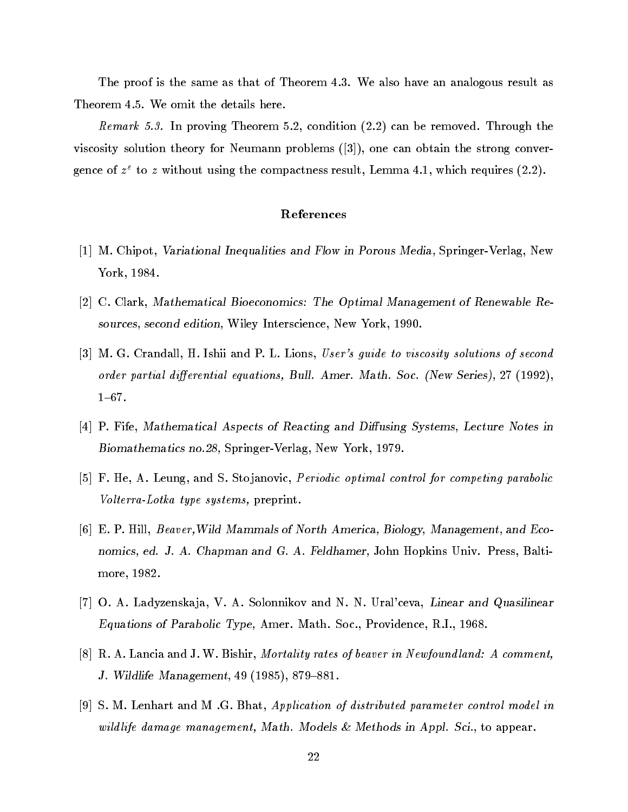The proof is the same as that of Theorem 4.3. We also have an analogous result as Theorem 4.5. We omit the details here.

Remark 5.3. In proving Theorem 5.2, condition (2.2) can be removed. Through the viscosity solution theory for Neumann problems ([3]), one can obtain the strong convergence of  $z^-$  to  $z^-$  without using the compactness result, Lemma 4.1, which requires (2.2).

# References

- $[1]$  M. Chipot, Variational Inequalities and Flow in Porous Media, Springer-Verlag, New York, 1984.
- $|2|$  C. Clark, Mathematical Bioeconomics: The Optimal Management of Renewable Resources, second edition, Wiley Interscience, New York, 1990.
- [3] M. G. Crandall, H. Ishii and P. L. Lions, User's guide to viscosity solutions of second order partial differential equations, Bull. Amer. Math. Soc. (New Series), 27 (1992),  $1{-}67.$
- $[4]$  P. Fife, Mathematical Aspects of Reacting and Diffusing Systems, Lecture Notes in Biomathematics no.28, Springer-Verlag, New York, 1979.
- [5] F. He, A. Leung, and S. Stojanovic, *Periodic optimal control for competing parabolic* Volterra-Lotka type systems, preprint.
- [6] E. P. Hill, Beaver,Wild Mammals of North America, Biology, Management, and Economics, ed. J. A. Chapman and G. A. Feldhamer, John Hopkins Univ. Press, Baltimore, 1982.
- [7] O. A. Ladyzenskaja, V. A. Solonnikov and N. N. Ural'ceva, Linear and Quasilinear Equations of Parabolic Type, Amer. Math. Soc., Providence, R.I., 1968.
- [8] R. A. Lancia and J. W. Bishir, *Mortality rates of beaver in Newfoundland: A comment*, J. Wildlife Management,  $49$  (1985), 879-881.
- [9] S. M. Lenhart and M .G. Bhat, Application of distributed parameter control model in wild life damage management, Math. Models & Methods in Appl. Sci., to appear.